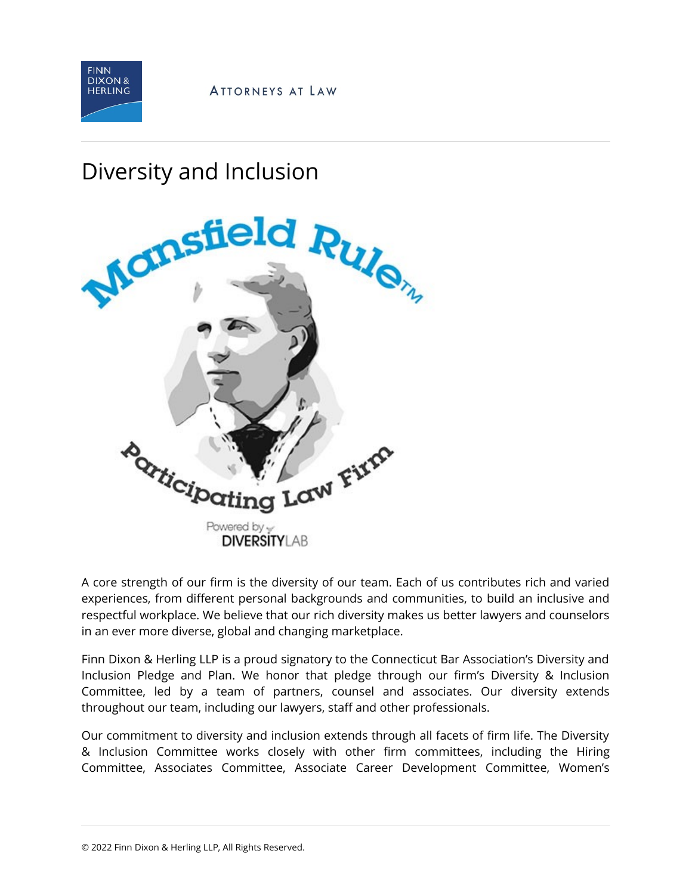

## Diversity and Inclusion



A core strength of our firm is the diversity of our team. Each of us contributes rich and varied experiences, from different personal backgrounds and communities, to build an inclusive and respectful workplace. We believe that our rich diversity makes us better lawyers and counselors in an ever more diverse, global and changing marketplace.

Finn Dixon & Herling LLP is a proud signatory to the Connecticut Bar Association's Diversity and Inclusion Pledge and Plan. We honor that pledge through our firm's Diversity & Inclusion Committee, led by a team of partners, counsel and associates. Our diversity extends throughout our team, including our lawyers, staff and other professionals.

Our commitment to diversity and inclusion extends through all facets of firm life. The Diversity & Inclusion Committee works closely with other firm committees, including the Hiring Committee, Associates Committee, Associate Career Development Committee, Women's